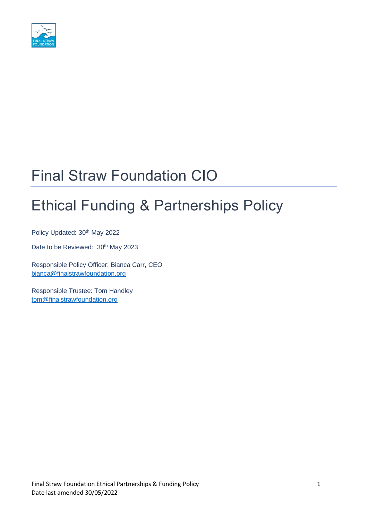

## Final Straw Foundation CIO

# Ethical Funding & Partnerships Policy

Policy Updated: 30<sup>th</sup> May 2022

Date to be Reviewed: 30<sup>th</sup> May 2023

Responsible Policy Officer: Bianca Carr, CEO [bianca@finalstrawfoundation.org](mailto:bianca@finalstrawfoundation.org)

Responsible Trustee: Tom Handley [tom@finalstrawfoundation.org](mailto:tom@finalstrawfoundation.org)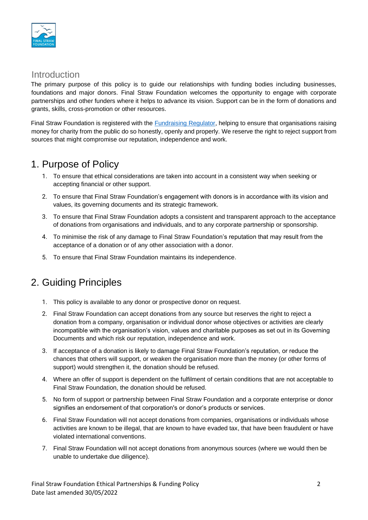

#### Introduction

The primary purpose of this policy is to guide our relationships with funding bodies including businesses, foundations and major donors. Final Straw Foundation welcomes the opportunity to engage with corporate partnerships and other funders where it helps to advance its vision. Support can be in the form of donations and grants, skills, cross-promotion or other resources.

Final Straw Foundation is registered with the [Fundraising](https://www.fundraisingregulator.org.uk/) [Regulator,](https://www.fundraisingregulator.org.uk/) helping to ensure that organisations raising money for charity from the public do so honestly, openly and properly. We reserve the right to reject support from sources that might compromise our reputation, independence and work.

#### 1. Purpose of Policy

- 1. To ensure that ethical considerations are taken into account in a consistent way when seeking or accepting financial or other support.
- 2. To ensure that Final Straw Foundation's engagement with donors is in accordance with its vision and values, its governing documents and its strategic framework.
- 3. To ensure that Final Straw Foundation adopts a consistent and transparent approach to the acceptance of donations from organisations and individuals, and to any corporate partnership or sponsorship.
- 4. To minimise the risk of any damage to Final Straw Foundation's reputation that may result from the acceptance of a donation or of any other association with a donor.
- 5. To ensure that Final Straw Foundation maintains its independence.

### 2. Guiding Principles

- 1. This policy is available to any donor or prospective donor on request.
- 2. Final Straw Foundation can accept donations from any source but reserves the right to reject a donation from a company, organisation or individual donor whose objectives or activities are clearly incompatible with the organisation's vision, values and charitable purposes as set out in its Governing Documents and which risk our reputation, independence and work.
- 3. If acceptance of a donation is likely to damage Final Straw Foundation's reputation, or reduce the chances that others will support, or weaken the organisation more than the money (or other forms of support) would strengthen it, the donation should be refused.
- 4. Where an offer of support is dependent on the fulfilment of certain conditions that are not acceptable to Final Straw Foundation, the donation should be refused.
- 5. No form of support or partnership between Final Straw Foundation and a corporate enterprise or donor signifies an endorsement of that corporation's or donor's products or services.
- 6. Final Straw Foundation will not accept donations from companies, organisations or individuals whose activities are known to be illegal, that are known to have evaded tax, that have been fraudulent or have violated international conventions.
- 7. Final Straw Foundation will not accept donations from anonymous sources (where we would then be unable to undertake due diligence).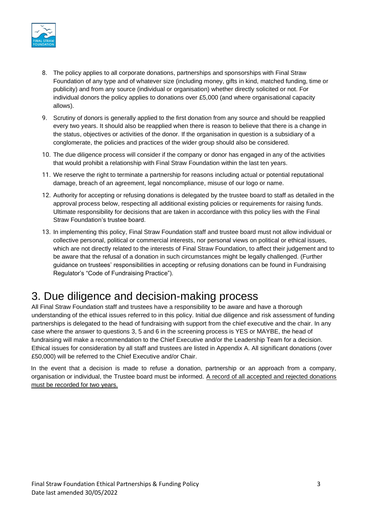

- 8. The policy applies to all corporate donations, partnerships and sponsorships with Final Straw Foundation of any type and of whatever size (including money, gifts in kind, matched funding, time or publicity) and from any source (individual or organisation) whether directly solicited or not. For individual donors the policy applies to donations over £5,000 (and where organisational capacity allows).
- 9. Scrutiny of donors is generally applied to the first donation from any source and should be reapplied every two years. It should also be reapplied when there is reason to believe that there is a change in the status, objectives or activities of the donor. If the organisation in question is a subsidiary of a conglomerate, the policies and practices of the wider group should also be considered.
- 10. The due diligence process will consider if the company or donor has engaged in any of the activities that would prohibit a relationship with Final Straw Foundation within the last ten years.
- 11. We reserve the right to terminate a partnership for reasons including actual or potential reputational damage, breach of an agreement, legal noncompliance, misuse of our logo or name.
- 12. Authority for accepting or refusing donations is delegated by the trustee board to staff as detailed in the approval process below, respecting all additional existing policies or requirements for raising funds. Ultimate responsibility for decisions that are taken in accordance with this policy lies with the Final Straw Foundation's trustee board.
- 13. In implementing this policy, Final Straw Foundation staff and trustee board must not allow individual or collective personal, political or commercial interests, nor personal views on political or ethical issues, which are not directly related to the interests of Final Straw Foundation, to affect their judgement and to be aware that the refusal of a donation in such circumstances might be legally challenged. (Further guidance on trustees' responsibilities in accepting or refusing donations can be found in Fundraising Regulator's "Code of Fundraising Practice").

### 3. Due diligence and decision-making process

All Final Straw Foundation staff and trustees have a responsibility to be aware and have a thorough understanding of the ethical issues referred to in this policy. Initial due diligence and risk assessment of funding partnerships is delegated to the head of fundraising with support from the chief executive and the chair. In any case where the answer to questions 3, 5 and 6 in the screening process is YES or MAYBE, the head of fundraising will make a recommendation to the Chief Executive and/or the Leadership Team for a decision. Ethical issues for consideration by all staff and trustees are listed in Appendix A. All significant donations (over £50,000) will be referred to the Chief Executive and/or Chair.

In the event that a decision is made to refuse a donation, partnership or an approach from a company, organisation or individual, the Trustee board must be informed. A record of all accepted and rejected donations must be recorded for two years.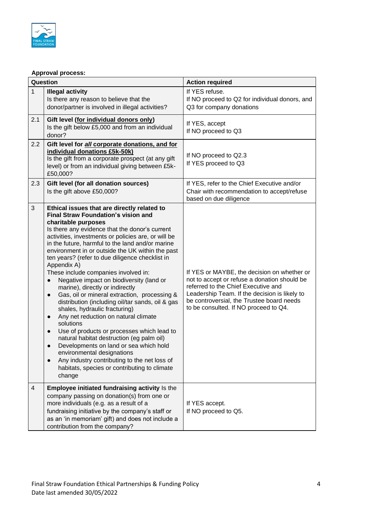

#### **Approval process:**

| Question       |                                                                                                                                                                                                                                                                                                                                                                                                                                                                                                                                                                                                                                                                                                                                                                                                                                                                                                                                                                                                                                                       | <b>Action required</b>                                                                                                                                                                                                                                                    |
|----------------|-------------------------------------------------------------------------------------------------------------------------------------------------------------------------------------------------------------------------------------------------------------------------------------------------------------------------------------------------------------------------------------------------------------------------------------------------------------------------------------------------------------------------------------------------------------------------------------------------------------------------------------------------------------------------------------------------------------------------------------------------------------------------------------------------------------------------------------------------------------------------------------------------------------------------------------------------------------------------------------------------------------------------------------------------------|---------------------------------------------------------------------------------------------------------------------------------------------------------------------------------------------------------------------------------------------------------------------------|
| $\mathbf{1}$   | <b>Illegal activity</b><br>Is there any reason to believe that the<br>donor/partner is involved in illegal activities?                                                                                                                                                                                                                                                                                                                                                                                                                                                                                                                                                                                                                                                                                                                                                                                                                                                                                                                                | If YES refuse.<br>If NO proceed to Q2 for individual donors, and<br>Q3 for company donations                                                                                                                                                                              |
| 2.1            | Gift level (for individual donors only)<br>Is the gift below £5,000 and from an individual<br>donor?                                                                                                                                                                                                                                                                                                                                                                                                                                                                                                                                                                                                                                                                                                                                                                                                                                                                                                                                                  | If YES, accept<br>If NO proceed to Q3                                                                                                                                                                                                                                     |
| 2.2            | Gift level for all corporate donations, and for<br>individual donations £5k-50k)<br>Is the gift from a corporate prospect (at any gift<br>level) or from an individual giving between £5k-<br>£50,000?                                                                                                                                                                                                                                                                                                                                                                                                                                                                                                                                                                                                                                                                                                                                                                                                                                                | If NO proceed to Q2.3<br>If YES proceed to Q3                                                                                                                                                                                                                             |
| 2.3            | Gift level (for all donation sources)<br>Is the gift above £50,000?                                                                                                                                                                                                                                                                                                                                                                                                                                                                                                                                                                                                                                                                                                                                                                                                                                                                                                                                                                                   | If YES, refer to the Chief Executive and/or<br>Chair with recommendation to accept/refuse<br>based on due diligence                                                                                                                                                       |
| $\mathfrak{S}$ | Ethical issues that are directly related to<br><b>Final Straw Foundation's vision and</b><br>charitable purposes<br>Is there any evidence that the donor's current<br>activities, investments or policies are, or will be<br>in the future, harmful to the land and/or marine<br>environment in or outside the UK within the past<br>ten years? (refer to due diligence checklist in<br>Appendix A)<br>These include companies involved in:<br>Negative impact on biodiversity (land or<br>$\bullet$<br>marine), directly or indirectly<br>Gas, oil or mineral extraction, processing &<br>$\bullet$<br>distribution (including oil/tar sands, oil & gas<br>shales, hydraulic fracturing)<br>Any net reduction on natural climate<br>$\bullet$<br>solutions<br>Use of products or processes which lead to<br>$\bullet$<br>natural habitat destruction (eg palm oil)<br>Developments on land or sea which hold<br>environmental designations<br>Any industry contributing to the net loss of<br>habitats, species or contributing to climate<br>change | If YES or MAYBE, the decision on whether or<br>not to accept or refuse a donation should be<br>referred to the Chief Executive and<br>Leadership Team. If the decision is likely to<br>be controversial, the Trustee board needs<br>to be consulted. If NO proceed to Q4. |
| 4              | Employee initiated fundraising activity Is the<br>company passing on donation(s) from one or<br>more individuals (e.g. as a result of a<br>fundraising initiative by the company's staff or<br>as an 'in memoriam' gift) and does not include a<br>contribution from the company?                                                                                                                                                                                                                                                                                                                                                                                                                                                                                                                                                                                                                                                                                                                                                                     | If YES accept.<br>If NO proceed to Q5.                                                                                                                                                                                                                                    |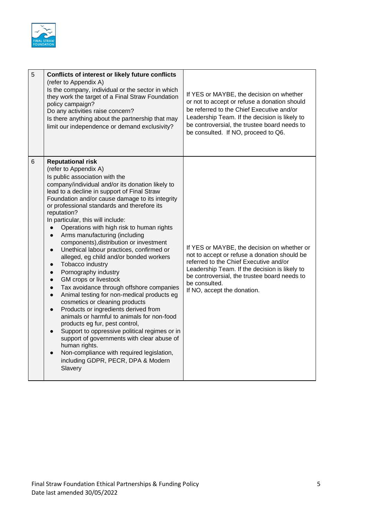

| 5 | Conflicts of interest or likely future conflicts<br>(refer to Appendix A)<br>Is the company, individual or the sector in which<br>they work the target of a Final Straw Foundation<br>policy campaign?<br>Do any activities raise concern?<br>Is there anything about the partnership that may<br>limit our independence or demand exclusivity?                                                                                                                                                                                                                                                                                                                                                                                                                                                                                                                                                                                                                                                                                                                                                                                                                                                             | If YES or MAYBE, the decision on whether<br>or not to accept or refuse a donation should<br>be referred to the Chief Executive and/or<br>Leadership Team. If the decision is likely to<br>be controversial, the trustee board needs to<br>be consulted. If NO, proceed to Q6.          |
|---|-------------------------------------------------------------------------------------------------------------------------------------------------------------------------------------------------------------------------------------------------------------------------------------------------------------------------------------------------------------------------------------------------------------------------------------------------------------------------------------------------------------------------------------------------------------------------------------------------------------------------------------------------------------------------------------------------------------------------------------------------------------------------------------------------------------------------------------------------------------------------------------------------------------------------------------------------------------------------------------------------------------------------------------------------------------------------------------------------------------------------------------------------------------------------------------------------------------|----------------------------------------------------------------------------------------------------------------------------------------------------------------------------------------------------------------------------------------------------------------------------------------|
| 6 | <b>Reputational risk</b><br>(refer to Appendix A)<br>Is public association with the<br>company/individual and/or its donation likely to<br>lead to a decline in support of Final Straw<br>Foundation and/or cause damage to its integrity<br>or professional standards and therefore its<br>reputation?<br>In particular, this will include:<br>Operations with high risk to human rights<br>$\bullet$<br>Arms manufacturing (including<br>$\bullet$<br>components), distribution or investment<br>Unethical labour practices, confirmed or<br>$\bullet$<br>alleged, eg child and/or bonded workers<br>Tobacco industry<br>$\bullet$<br>Pornography industry<br>$\bullet$<br>GM crops or livestock<br>$\bullet$<br>Tax avoidance through offshore companies<br>$\bullet$<br>Animal testing for non-medical products eg<br>$\bullet$<br>cosmetics or cleaning products<br>Products or ingredients derived from<br>animals or harmful to animals for non-food<br>products eg fur, pest control,<br>Support to oppressive political regimes or in<br>support of governments with clear abuse of<br>human rights.<br>Non-compliance with required legislation,<br>including GDPR, PECR, DPA & Modern<br>Slavery | If YES or MAYBE, the decision on whether or<br>not to accept or refuse a donation should be<br>referred to the Chief Executive and/or<br>Leadership Team. If the decision is likely to<br>be controversial, the trustee board needs to<br>be consulted.<br>If NO, accept the donation. |